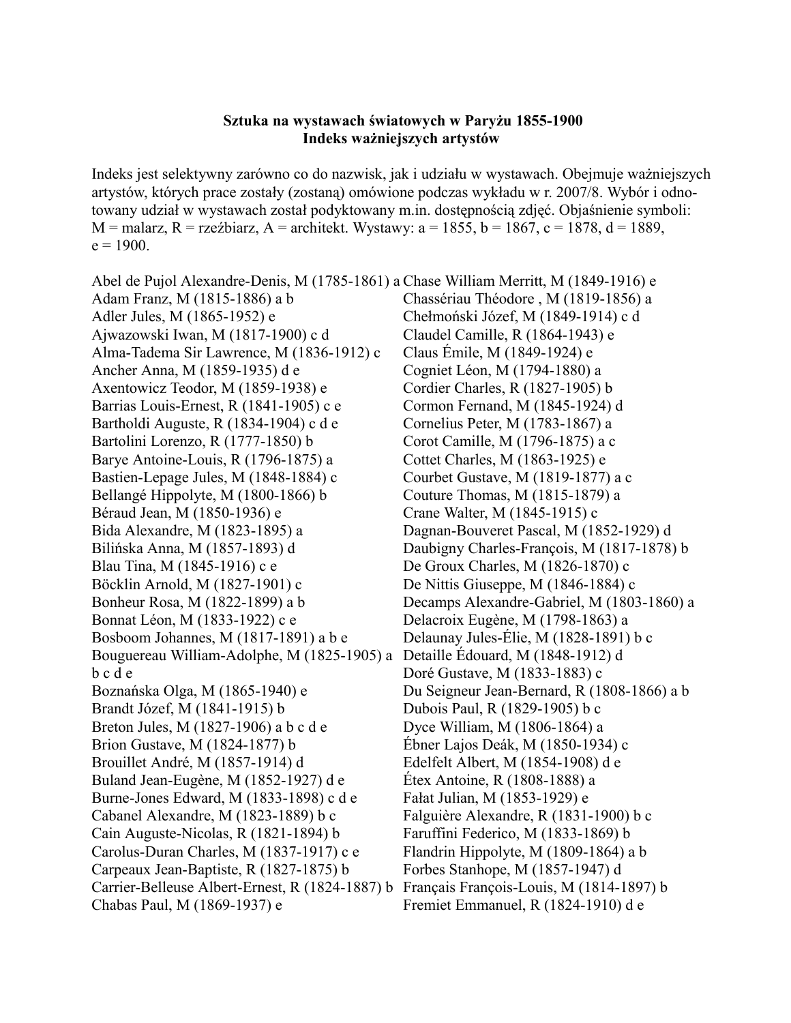## **Sztuka na wystawach światowych w Paryżu 1855-1900 Indeks ważniejszych artystów**

Indeks jest selektywny zarówno co do nazwisk, jak i udziału w wystawach. Obejmuje ważniejszych artystów, których prace zostały (zostaną) omówione podczas wykładu w r. 2007/8. Wybór i odnotowany udział w wystawach został podyktowany m.in. dostępnością zdjęć. Objaśnienie symboli:  $M =$ malarz, R = rzeźbiarz, A = architekt. Wystawy: a = 1855, b = 1867, c = 1878, d = 1889,  $e = 1900$ .

Abel de Pujol Alexandre-Denis, M (1785-1861) a Chase William Merritt, M (1849-1916) e Adam Franz, M (1815-1886) a b Adler Jules, M (1865-1952) e Ajwazowski Iwan, M (1817-1900) c d Alma-Tadema Sir Lawrence, M (1836-1912) c Ancher Anna, M (1859-1935) d e Axentowicz Teodor, M (1859-1938) e Barrias Louis-Ernest, R (1841-1905) c e Bartholdi Auguste, R (1834-1904) c d e Bartolini Lorenzo, R (1777-1850) b Barye Antoine-Louis, R (1796-1875) a Bastien-Lepage Jules, M (1848-1884) c Bellangé Hippolyte, M (1800-1866) b Béraud Jean, M (1850-1936) e Bida Alexandre, M (1823-1895) a Bilińska Anna, M (1857-1893) d Blau Tina, M (1845-1916) c e Böcklin Arnold, M (1827-1901) c Bonheur Rosa, M (1822-1899) a b Bonnat Léon, M (1833-1922) c e Bosboom Johannes, M (1817-1891) a b e Bouguereau William-Adolphe, M (1825-1905) a Detaille Édouard, M (1848-1912) d b c d e Boznańska Olga, M (1865-1940) e Brandt Józef, M (1841-1915) b Breton Jules, M (1827-1906) a b c d e Brion Gustave, M (1824-1877) b Brouillet André, M (1857-1914) d Buland Jean-Eugène, M (1852-1927) d e Burne-Jones Edward, M (1833-1898) c d e Cabanel Alexandre, M (1823-1889) b c Cain Auguste-Nicolas, R (1821-1894) b Carolus-Duran Charles, M (1837-1917) c e Carpeaux Jean-Baptiste, R (1827-1875) b Carrier-Belleuse Albert-Ernest, R (1824-1887) b Chabas Paul, M (1869-1937) e Chassériau Théodore , M (1819-1856) a Chełmoński Józef, M (1849-1914) c d Claudel Camille, R (1864-1943) e Claus Émile, M (1849-1924) e Cogniet Léon, M (1794-1880) a Cordier Charles, R (1827-1905) b Cormon Fernand, M (1845-1924) d Cornelius Peter, M (1783-1867) a Corot Camille, M (1796-1875) a c Cottet Charles, M (1863-1925) e Courbet Gustave, M (1819-1877) a c Couture Thomas, M (1815-1879) a Crane Walter, M (1845-1915) c Dagnan-Bouveret Pascal, M (1852-1929) d Daubigny Charles-François, M (1817-1878) b De Groux Charles, M (1826-1870) c De Nittis Giuseppe, M (1846-1884) c Decamps Alexandre-Gabriel, M (1803-1860) a Delacroix Eugène, M (1798-1863) a Delaunay Jules-Élie, M (1828-1891) b c Doré Gustave, M (1833-1883) c Du Seigneur Jean-Bernard, R (1808-1866) a b Dubois Paul, R (1829-1905) b c Dyce William, M (1806-1864) a Ébner Lajos Deák, M (1850-1934) c Edelfelt Albert, M (1854-1908) d e Étex Antoine, R (1808-1888) a Fałat Julian, M (1853-1929) e Falguière Alexandre, R (1831-1900) b c Faruffini Federico, M (1833-1869) b Flandrin Hippolyte, M (1809-1864) a b Forbes Stanhope, M (1857-1947) d Français François-Louis, M (1814-1897) b Fremiet Emmanuel, R (1824-1910) d e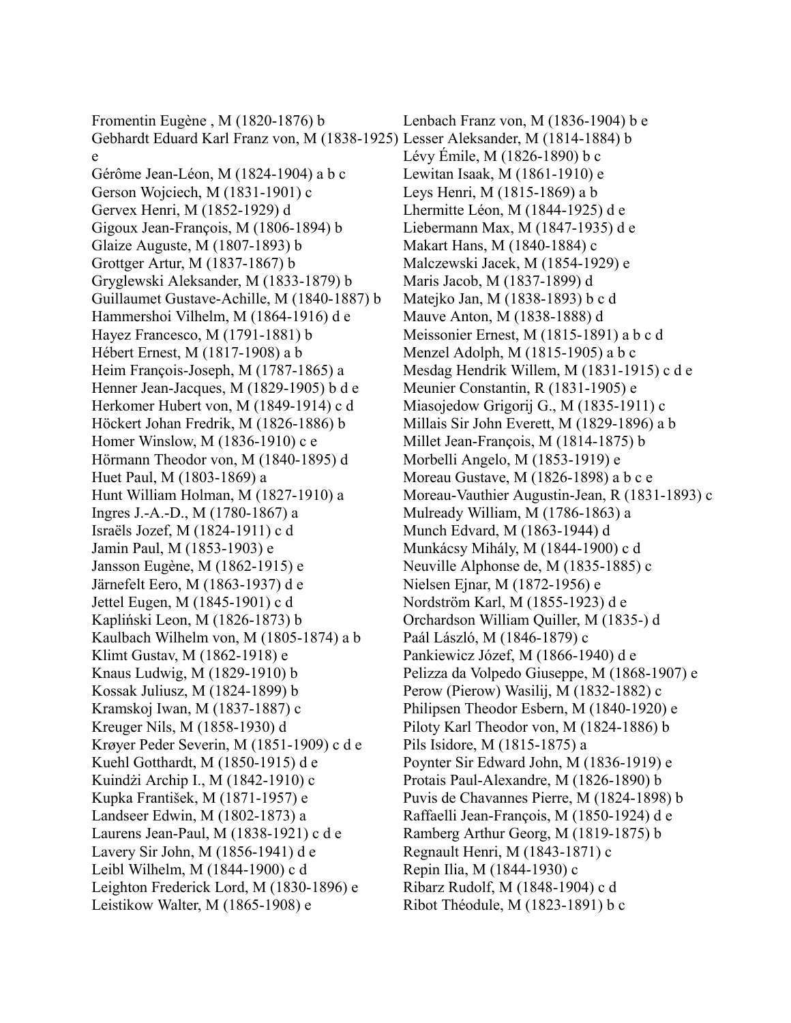Fromentin Eugène , M (1820-1876) b Gebhardt Eduard Karl Franz von, M (1838-1925) Lesser Aleksander, M (1814-1884) b e Gérôme Jean-Léon, M (1824-1904) a b c Gerson Wojciech, M (1831-1901) c Gervex Henri, M (1852-1929) d Gigoux Jean-François, M (1806-1894) b Glaize Auguste, M (1807-1893) b Grottger Artur, M (1837-1867) b Gryglewski Aleksander, M (1833-1879) b Guillaumet Gustave-Achille, M (1840-1887) b Hammershoi Vilhelm, M (1864-1916) d e Hayez Francesco, M (1791-1881) b Hébert Ernest, M (1817-1908) a b Heim François-Joseph, M (1787-1865) a Henner Jean-Jacques, M (1829-1905) b d e Herkomer Hubert von, M (1849-1914) c d Höckert Johan Fredrik, M (1826-1886) b Homer Winslow, M (1836-1910) c e Hörmann Theodor von, M (1840-1895) d Huet Paul, M (1803-1869) a Hunt William Holman, M (1827-1910) a Ingres J.-A.-D., M (1780-1867) a Israëls Jozef, M (1824-1911) c d Jamin Paul, M (1853-1903) e Jansson Eugène, M (1862-1915) e Järnefelt Eero, M (1863-1937) d e Jettel Eugen, M (1845-1901) c d Kapliński Leon, M (1826-1873) b Kaulbach Wilhelm von, M (1805-1874) a b Klimt Gustav, M (1862-1918) e Knaus Ludwig, M (1829-1910) b Kossak Juliusz, M (1824-1899) b Kramskoj Iwan, M (1837-1887) c Kreuger Nils, M (1858-1930) d Krøyer Peder Severin, M (1851-1909) c d e Kuehl Gotthardt, M (1850-1915) d e Kuindżi Archip I., M (1842-1910) c Kupka František, M (1871-1957) e Landseer Edwin, M (1802-1873) a Laurens Jean-Paul, M (1838-1921) c d e Lavery Sir John, M (1856-1941) d e Leibl Wilhelm, M (1844-1900) c d Leighton Frederick Lord, M (1830-1896) e Leistikow Walter, M (1865-1908) e

Lenbach Franz von, M (1836-1904) b e Lévy Émile, M (1826-1890) b c Lewitan Isaak, M (1861-1910) e Leys Henri, M (1815-1869) a b Lhermitte Léon, M (1844-1925) d e Liebermann Max, M (1847-1935) d e Makart Hans, M (1840-1884) c Malczewski Jacek, M (1854-1929) e Maris Jacob, M (1837-1899) d Matejko Jan, M (1838-1893) b c d Mauve Anton, M (1838-1888) d Meissonier Ernest, M (1815-1891) a b c d Menzel Adolph, M (1815-1905) a b c Mesdag Hendrik Willem, M (1831-1915) c d e Meunier Constantin, R (1831-1905) e Miasojedow Grigorij G., M (1835-1911) c Millais Sir John Everett, M (1829-1896) a b Millet Jean-François, M (1814-1875) b Morbelli Angelo, M (1853-1919) e Moreau Gustave, M (1826-1898) a b c e Moreau-Vauthier Augustin-Jean, R (1831-1893) c Mulready William, M (1786-1863) a Munch Edvard, M (1863-1944) d Munkácsy Mihály, M (1844-1900) c d Neuville Alphonse de, M (1835-1885) c Nielsen Ejnar, M (1872-1956) e Nordström Karl, M (1855-1923) d e Orchardson William Quiller, M (1835-) d Paál László, M (1846-1879) c Pankiewicz Józef, M (1866-1940) d e Pelizza da Volpedo Giuseppe, M (1868-1907) e Perow (Pierow) Wasilij, M (1832-1882) c Philipsen Theodor Esbern, M (1840-1920) e Piloty Karl Theodor von, M (1824-1886) b Pils Isidore, M (1815-1875) a Poynter Sir Edward John, M (1836-1919) e Protais Paul-Alexandre, M (1826-1890) b Puvis de Chavannes Pierre, M (1824-1898) b Raffaelli Jean-François, M (1850-1924) d e Ramberg Arthur Georg, M (1819-1875) b Regnault Henri, M (1843-1871) c Repin Ilia, M (1844-1930) c Ribarz Rudolf, M (1848-1904) c d Ribot Théodule, M (1823-1891) b c